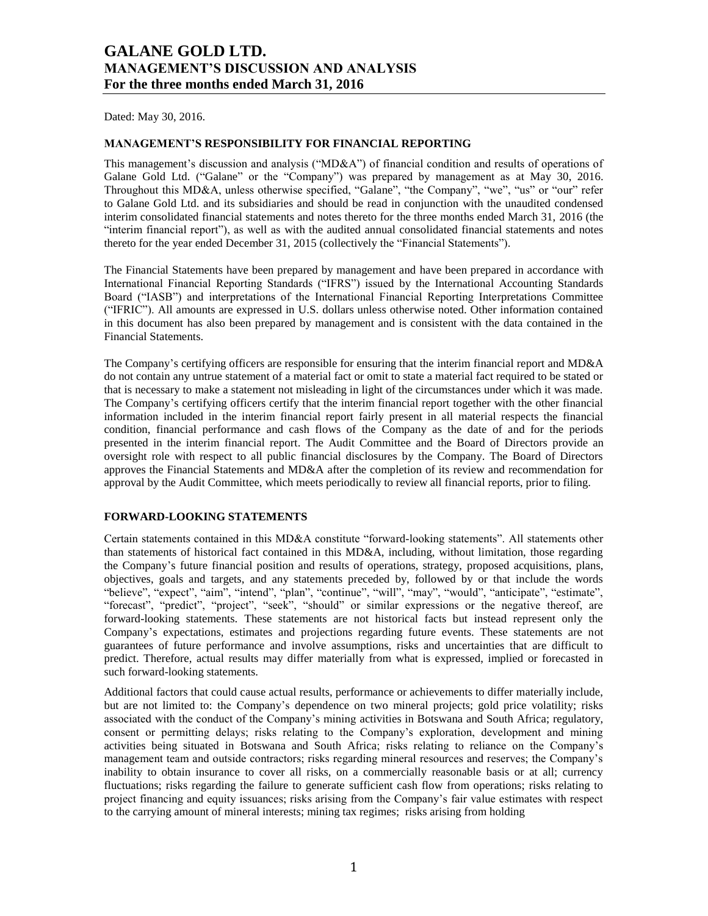Dated: May 30, 2016.

#### **MANAGEMENT'S RESPONSIBILITY FOR FINANCIAL REPORTING**

This management's discussion and analysis ("MD&A") of financial condition and results of operations of Galane Gold Ltd. ("Galane" or the "Company") was prepared by management as at May 30, 2016. Throughout this MD&A, unless otherwise specified, "Galane", "the Company", "we", "us" or "our" refer to Galane Gold Ltd. and its subsidiaries and should be read in conjunction with the unaudited condensed interim consolidated financial statements and notes thereto for the three months ended March 31, 2016 (the "interim financial report"), as well as with the audited annual consolidated financial statements and notes thereto for the year ended December 31, 2015 (collectively the "Financial Statements").

The Financial Statements have been prepared by management and have been prepared in accordance with International Financial Reporting Standards ("IFRS") issued by the International Accounting Standards Board ("IASB") and interpretations of the International Financial Reporting Interpretations Committee ("IFRIC"). All amounts are expressed in U.S. dollars unless otherwise noted. Other information contained in this document has also been prepared by management and is consistent with the data contained in the Financial Statements.

The Company's certifying officers are responsible for ensuring that the interim financial report and MD&A do not contain any untrue statement of a material fact or omit to state a material fact required to be stated or that is necessary to make a statement not misleading in light of the circumstances under which it was made. The Company's certifying officers certify that the interim financial report together with the other financial information included in the interim financial report fairly present in all material respects the financial condition, financial performance and cash flows of the Company as the date of and for the periods presented in the interim financial report. The Audit Committee and the Board of Directors provide an oversight role with respect to all public financial disclosures by the Company. The Board of Directors approves the Financial Statements and MD&A after the completion of its review and recommendation for approval by the Audit Committee, which meets periodically to review all financial reports, prior to filing.

#### **FORWARD-LOOKING STATEMENTS**

Certain statements contained in this MD&A constitute "forward-looking statements". All statements other than statements of historical fact contained in this MD&A, including, without limitation, those regarding the Company's future financial position and results of operations, strategy, proposed acquisitions, plans, objectives, goals and targets, and any statements preceded by, followed by or that include the words "believe", "expect", "aim", "intend", "plan", "continue", "will", "may", "would", "anticipate", "estimate", "forecast", "predict", "project", "seek", "should" or similar expressions or the negative thereof, are forward-looking statements. These statements are not historical facts but instead represent only the Company's expectations, estimates and projections regarding future events. These statements are not guarantees of future performance and involve assumptions, risks and uncertainties that are difficult to predict. Therefore, actual results may differ materially from what is expressed, implied or forecasted in such forward-looking statements.

Additional factors that could cause actual results, performance or achievements to differ materially include, but are not limited to: the Company's dependence on two mineral projects; gold price volatility; risks associated with the conduct of the Company's mining activities in Botswana and South Africa; regulatory, consent or permitting delays; risks relating to the Company's exploration, development and mining activities being situated in Botswana and South Africa; risks relating to reliance on the Company's management team and outside contractors; risks regarding mineral resources and reserves; the Company's inability to obtain insurance to cover all risks, on a commercially reasonable basis or at all; currency fluctuations; risks regarding the failure to generate sufficient cash flow from operations; risks relating to project financing and equity issuances; risks arising from the Company's fair value estimates with respect to the carrying amount of mineral interests; mining tax regimes; risks arising from holding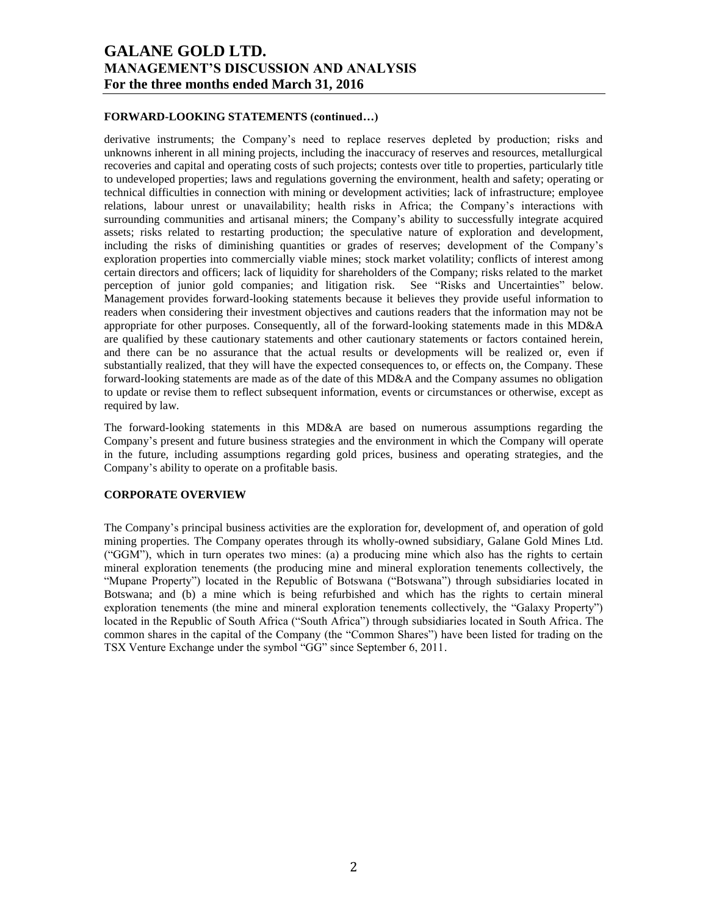#### **FORWARD-LOOKING STATEMENTS (continued…)**

derivative instruments; the Company's need to replace reserves depleted by production; risks and unknowns inherent in all mining projects, including the inaccuracy of reserves and resources, metallurgical recoveries and capital and operating costs of such projects; contests over title to properties, particularly title to undeveloped properties; laws and regulations governing the environment, health and safety; operating or technical difficulties in connection with mining or development activities; lack of infrastructure; employee relations, labour unrest or unavailability; health risks in Africa; the Company's interactions with surrounding communities and artisanal miners; the Company's ability to successfully integrate acquired assets; risks related to restarting production; the speculative nature of exploration and development, including the risks of diminishing quantities or grades of reserves; development of the Company's exploration properties into commercially viable mines; stock market volatility; conflicts of interest among certain directors and officers; lack of liquidity for shareholders of the Company; risks related to the market perception of junior gold companies; and litigation risk. See "Risks and Uncertainties" below. Management provides forward-looking statements because it believes they provide useful information to readers when considering their investment objectives and cautions readers that the information may not be appropriate for other purposes. Consequently, all of the forward-looking statements made in this MD&A are qualified by these cautionary statements and other cautionary statements or factors contained herein, and there can be no assurance that the actual results or developments will be realized or, even if substantially realized, that they will have the expected consequences to, or effects on, the Company. These forward-looking statements are made as of the date of this MD&A and the Company assumes no obligation to update or revise them to reflect subsequent information, events or circumstances or otherwise, except as required by law.

The forward-looking statements in this MD&A are based on numerous assumptions regarding the Company's present and future business strategies and the environment in which the Company will operate in the future, including assumptions regarding gold prices, business and operating strategies, and the Company's ability to operate on a profitable basis.

#### **CORPORATE OVERVIEW**

The Company's principal business activities are the exploration for, development of, and operation of gold mining properties. The Company operates through its wholly-owned subsidiary, Galane Gold Mines Ltd. ("GGM"), which in turn operates two mines: (a) a producing mine which also has the rights to certain mineral exploration tenements (the producing mine and mineral exploration tenements collectively, the "Mupane Property") located in the Republic of Botswana ("Botswana") through subsidiaries located in Botswana; and (b) a mine which is being refurbished and which has the rights to certain mineral exploration tenements (the mine and mineral exploration tenements collectively, the "Galaxy Property") located in the Republic of South Africa ("South Africa") through subsidiaries located in South Africa. The common shares in the capital of the Company (the "Common Shares") have been listed for trading on the TSX Venture Exchange under the symbol "GG" since September 6, 2011.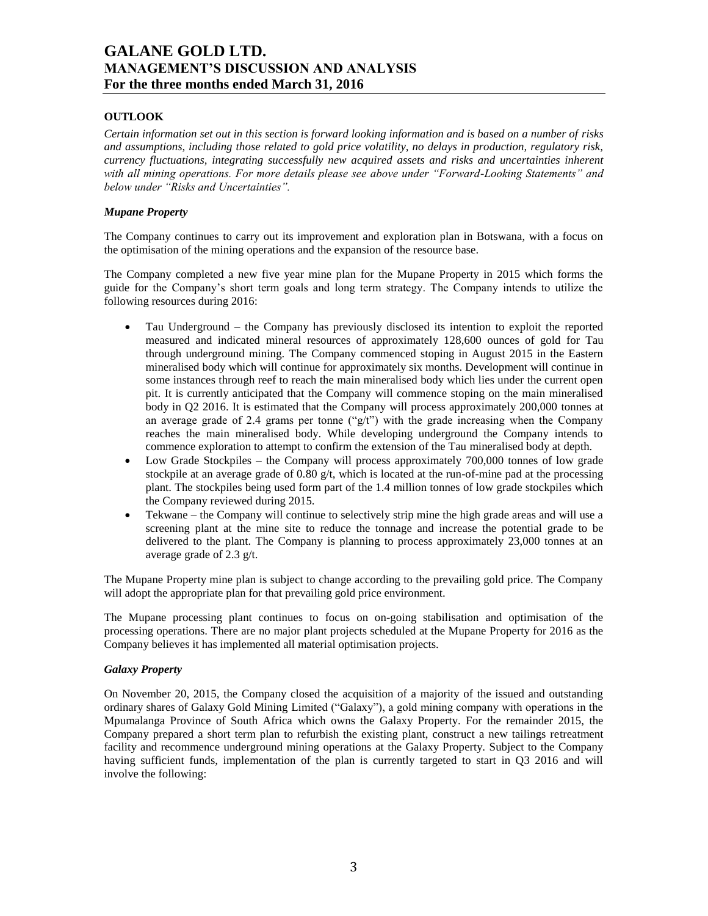## **OUTLOOK**

*Certain information set out in this section is forward looking information and is based on a number of risks and assumptions, including those related to gold price volatility, no delays in production, regulatory risk, currency fluctuations, integrating successfully new acquired assets and risks and uncertainties inherent with all mining operations. For more details please see above under "Forward-Looking Statements" and below under "Risks and Uncertainties".*

### *Mupane Property*

The Company continues to carry out its improvement and exploration plan in Botswana, with a focus on the optimisation of the mining operations and the expansion of the resource base.

The Company completed a new five year mine plan for the Mupane Property in 2015 which forms the guide for the Company's short term goals and long term strategy. The Company intends to utilize the following resources during 2016:

- Tau Underground the Company has previously disclosed its intention to exploit the reported measured and indicated mineral resources of approximately 128,600 ounces of gold for Tau through underground mining. The Company commenced stoping in August 2015 in the Eastern mineralised body which will continue for approximately six months. Development will continue in some instances through reef to reach the main mineralised body which lies under the current open pit. It is currently anticipated that the Company will commence stoping on the main mineralised body in Q2 2016. It is estimated that the Company will process approximately 200,000 tonnes at an average grade of 2.4 grams per tonne ("g/t") with the grade increasing when the Company reaches the main mineralised body. While developing underground the Company intends to commence exploration to attempt to confirm the extension of the Tau mineralised body at depth.
- Low Grade Stockpiles the Company will process approximately 700,000 tonnes of low grade stockpile at an average grade of 0.80  $g/t$ , which is located at the run-of-mine pad at the processing plant. The stockpiles being used form part of the 1.4 million tonnes of low grade stockpiles which the Company reviewed during 2015.
- Tekwane the Company will continue to selectively strip mine the high grade areas and will use a screening plant at the mine site to reduce the tonnage and increase the potential grade to be delivered to the plant. The Company is planning to process approximately 23,000 tonnes at an average grade of 2.3 g/t.

The Mupane Property mine plan is subject to change according to the prevailing gold price. The Company will adopt the appropriate plan for that prevailing gold price environment.

The Mupane processing plant continues to focus on on-going stabilisation and optimisation of the processing operations. There are no major plant projects scheduled at the Mupane Property for 2016 as the Company believes it has implemented all material optimisation projects.

#### *Galaxy Property*

On November 20, 2015, the Company closed the acquisition of a majority of the issued and outstanding ordinary shares of Galaxy Gold Mining Limited ("Galaxy"), a gold mining company with operations in the Mpumalanga Province of South Africa which owns the Galaxy Property. For the remainder 2015, the Company prepared a short term plan to refurbish the existing plant, construct a new tailings retreatment facility and recommence underground mining operations at the Galaxy Property. Subject to the Company having sufficient funds, implementation of the plan is currently targeted to start in Q3 2016 and will involve the following: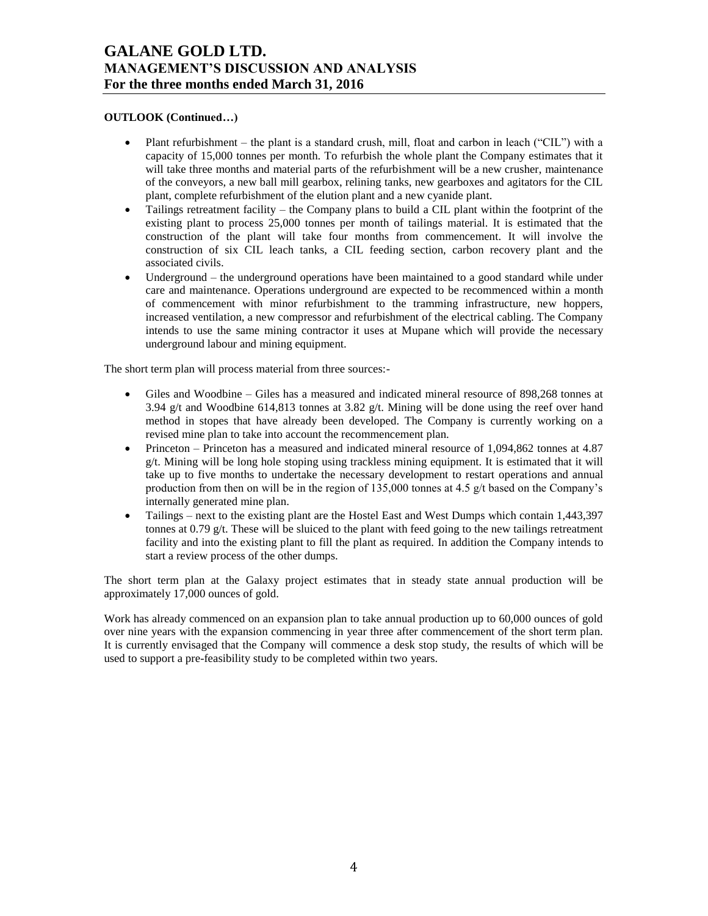## **OUTLOOK (Continued…)**

- Plant refurbishment the plant is a standard crush, mill, float and carbon in leach ("CIL") with a capacity of 15,000 tonnes per month. To refurbish the whole plant the Company estimates that it will take three months and material parts of the refurbishment will be a new crusher, maintenance of the conveyors, a new ball mill gearbox, relining tanks, new gearboxes and agitators for the CIL plant, complete refurbishment of the elution plant and a new cyanide plant.
- Tailings retreatment facility the Company plans to build a CIL plant within the footprint of the existing plant to process 25,000 tonnes per month of tailings material. It is estimated that the construction of the plant will take four months from commencement. It will involve the construction of six CIL leach tanks, a CIL feeding section, carbon recovery plant and the associated civils.
- Underground the underground operations have been maintained to a good standard while under care and maintenance. Operations underground are expected to be recommenced within a month of commencement with minor refurbishment to the tramming infrastructure, new hoppers, increased ventilation, a new compressor and refurbishment of the electrical cabling. The Company intends to use the same mining contractor it uses at Mupane which will provide the necessary underground labour and mining equipment.

The short term plan will process material from three sources:-

- Giles and Woodbine Giles has a measured and indicated mineral resource of 898,268 tonnes at 3.94 g/t and Woodbine 614,813 tonnes at 3.82 g/t. Mining will be done using the reef over hand method in stopes that have already been developed. The Company is currently working on a revised mine plan to take into account the recommencement plan.
- Princeton Princeton has a measured and indicated mineral resource of 1,094,862 tonnes at 4.87 g/t. Mining will be long hole stoping using trackless mining equipment. It is estimated that it will take up to five months to undertake the necessary development to restart operations and annual production from then on will be in the region of 135,000 tonnes at 4.5 g/t based on the Company's internally generated mine plan.
- Tailings next to the existing plant are the Hostel East and West Dumps which contain 1,443,397 tonnes at 0.79  $g/t$ . These will be sluiced to the plant with feed going to the new tailings retreatment facility and into the existing plant to fill the plant as required. In addition the Company intends to start a review process of the other dumps.

The short term plan at the Galaxy project estimates that in steady state annual production will be approximately 17,000 ounces of gold.

Work has already commenced on an expansion plan to take annual production up to 60,000 ounces of gold over nine years with the expansion commencing in year three after commencement of the short term plan. It is currently envisaged that the Company will commence a desk stop study, the results of which will be used to support a pre-feasibility study to be completed within two years.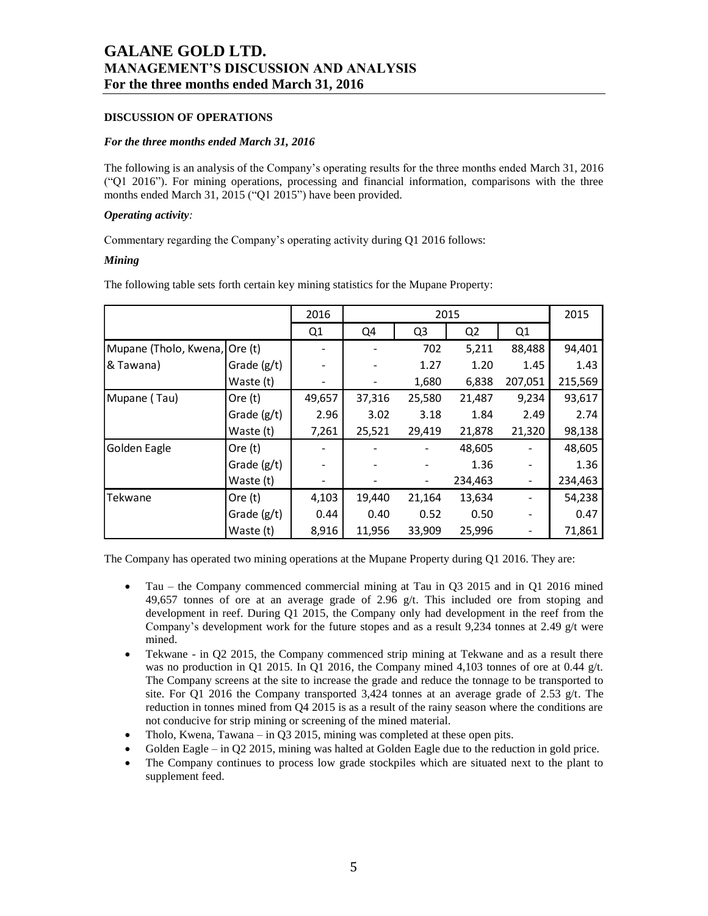### **DISCUSSION OF OPERATIONS**

#### *For the three months ended March 31, 2016*

The following is an analysis of the Company's operating results for the three months ended March 31, 2016 ("Q1 2016"). For mining operations, processing and financial information, comparisons with the three months ended March 31, 2015 ("Q1 2015") have been provided.

#### *Operating activity:*

Commentary regarding the Company's operating activity during Q1 2016 follows:

### *Mining*

The following table sets forth certain key mining statistics for the Mupane Property:

|                               |               | 2016   | 2015   |                |                | 2015           |         |
|-------------------------------|---------------|--------|--------|----------------|----------------|----------------|---------|
|                               |               | Q1     | Q4     | Q <sub>3</sub> | Q <sub>2</sub> | Q <sub>1</sub> |         |
| Mupane (Tholo, Kwena, Ore (t) |               |        |        | 702            | 5,211          | 88,488         | 94,401  |
| & Tawana)                     | Grade $(g/t)$ |        |        | 1.27           | 1.20           | 1.45           | 1.43    |
|                               | Waste (t)     |        |        | 1,680          | 6,838          | 207,051        | 215,569 |
| Mupane (Tau)                  | Ore $(t)$     | 49,657 | 37,316 | 25,580         | 21,487         | 9,234          | 93,617  |
|                               | Grade $(g/t)$ | 2.96   | 3.02   | 3.18           | 1.84           | 2.49           | 2.74    |
|                               | Waste (t)     | 7,261  | 25,521 | 29,419         | 21,878         | 21,320         | 98,138  |
| Golden Eagle                  | Ore $(t)$     |        |        |                | 48,605         |                | 48,605  |
|                               | Grade $(g/t)$ |        |        |                | 1.36           |                | 1.36    |
|                               | Waste (t)     |        |        |                | 234,463        |                | 234,463 |
| Tekwane                       | Ore $(t)$     | 4,103  | 19,440 | 21,164         | 13,634         |                | 54,238  |
|                               | Grade (g/t)   | 0.44   | 0.40   | 0.52           | 0.50           |                | 0.47    |
|                               | Waste (t)     | 8,916  | 11,956 | 33,909         | 25,996         |                | 71,861  |

The Company has operated two mining operations at the Mupane Property during Q1 2016. They are:

- Tau the Company commenced commercial mining at Tau in Q3 2015 and in Q1 2016 mined 49,657 tonnes of ore at an average grade of 2.96  $g/t$ . This included ore from stoping and development in reef. During Q1 2015, the Company only had development in the reef from the Company's development work for the future stopes and as a result 9,234 tonnes at 2.49 g/t were mined.
- Tekwane in Q2 2015, the Company commenced strip mining at Tekwane and as a result there was no production in Q1 2015. In Q1 2016, the Company mined 4,103 tonnes of ore at 0.44 g/t. The Company screens at the site to increase the grade and reduce the tonnage to be transported to site. For Q1 2016 the Company transported 3,424 tonnes at an average grade of 2.53 g/t. The reduction in tonnes mined from Q4 2015 is as a result of the rainy season where the conditions are not conducive for strip mining or screening of the mined material.
- Tholo, Kwena, Tawana in O3 2015, mining was completed at these open pits.
- Golden Eagle in Q2 2015, mining was halted at Golden Eagle due to the reduction in gold price.
- The Company continues to process low grade stockpiles which are situated next to the plant to supplement feed.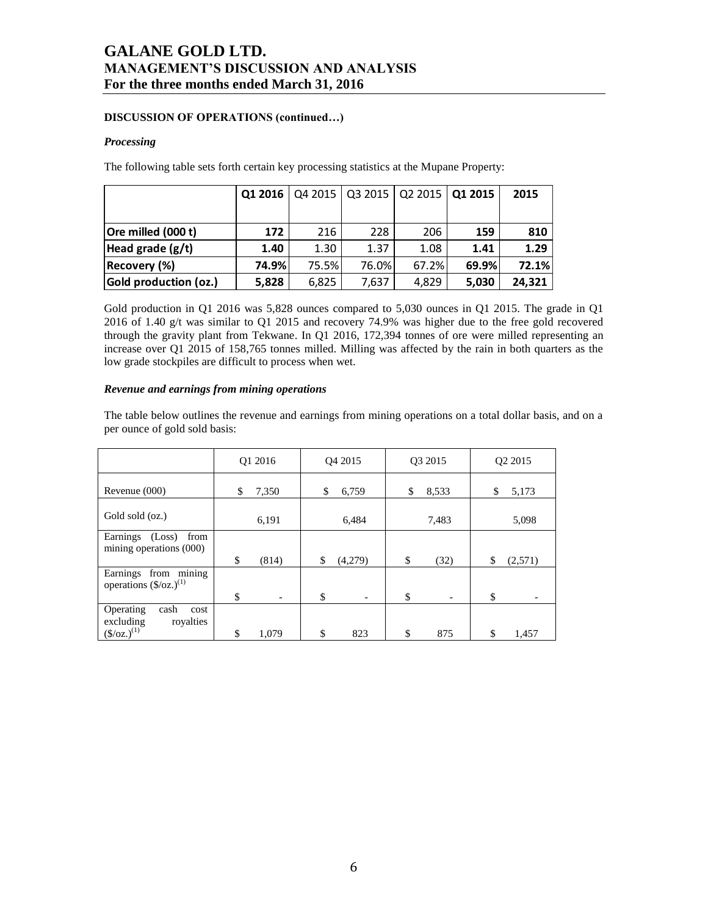## **DISCUSSION OF OPERATIONS (continued…)**

#### *Processing*

The following table sets forth certain key processing statistics at the Mupane Property:

|                       | Q1 2016 |       | Q4 2015   Q3 2015   Q2 2015   Q1 2015 |       |       | 2015   |
|-----------------------|---------|-------|---------------------------------------|-------|-------|--------|
|                       |         |       |                                       |       |       |        |
| Ore milled (000 t)    | 172     | 216   | 228                                   | 206   | 159   | 810    |
| Head grade $(g/t)$    | 1.40    | 1.30  | 1.37                                  | 1.08  | 1.41  | 1.29   |
| Recovery (%)          | 74.9%   | 75.5% | 76.0%                                 | 67.2% | 69.9% | 72.1%  |
| Gold production (oz.) | 5,828   | 6,825 | 7,637                                 | 4.829 | 5,030 | 24,321 |

Gold production in Q1 2016 was 5,828 ounces compared to 5,030 ounces in Q1 2015. The grade in Q1 2016 of 1.40 g/t was similar to Q1 2015 and recovery 74.9% was higher due to the free gold recovered through the gravity plant from Tekwane. In Q1 2016, 172,394 tonnes of ore were milled representing an increase over Q1 2015 of 158,765 tonnes milled. Milling was affected by the rain in both quarters as the low grade stockpiles are difficult to process when wet.

#### *Revenue and earnings from mining operations*

The table below outlines the revenue and earnings from mining operations on a total dollar basis, and on a per ounce of gold sold basis:

|                                                                        | O1 2016     | O <sub>4</sub> 2015 | O <sub>3</sub> 2015                   | O <sub>2</sub> 2015 |
|------------------------------------------------------------------------|-------------|---------------------|---------------------------------------|---------------------|
| Revenue (000)                                                          | \$<br>7,350 | \$<br>6,759         | \$<br>8,533                           | \$<br>5,173         |
| Gold sold (oz.)                                                        | 6,191       | 6,484               | 7,483                                 | 5,098               |
| Earnings (Loss)<br>from<br>mining operations (000)                     | \$<br>(814) | \$<br>(4,279)       | \$<br>(32)                            | \$<br>(2,571)       |
| from mining<br>Earnings<br>operations $(\frac{6}{2})^{(1)}$            | \$          | \$                  | \$                                    | \$                  |
| Operating<br>cash<br>cost<br>excluding<br>royalties<br>$(S/oz.)^{(1)}$ | \$<br>1.079 | \$<br>823           | $\overline{\phantom{a}}$<br>\$<br>875 | \$<br>1,457         |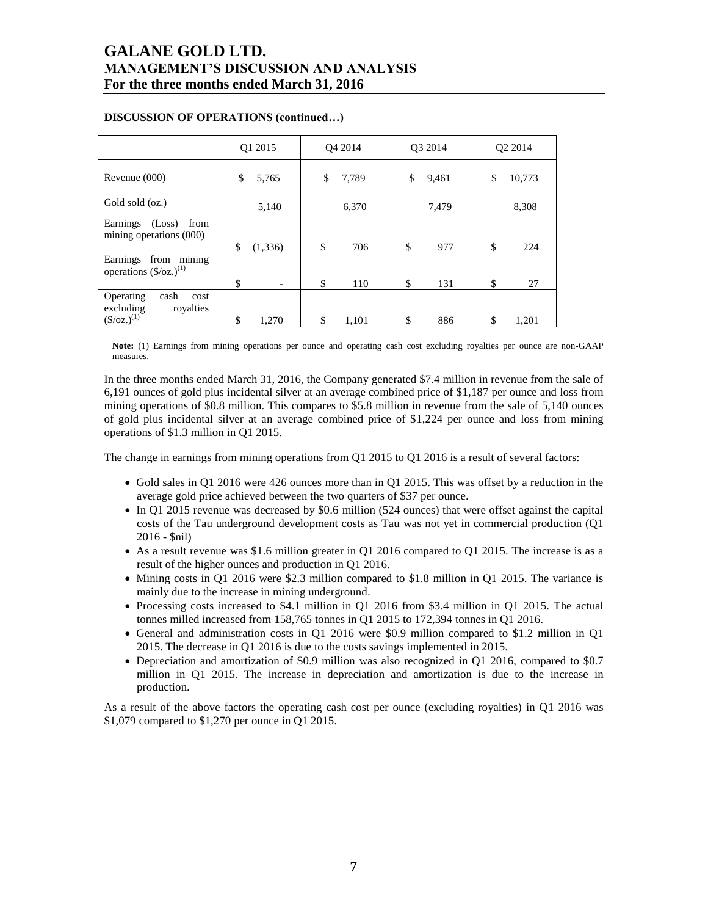|                                                                        | Q1 2015        | O <sub>4</sub> 2014 | O3 2014     | O <sub>2</sub> 2014 |
|------------------------------------------------------------------------|----------------|---------------------|-------------|---------------------|
| Revenue (000)                                                          | \$<br>5,765    | 7,789<br>\$         | \$<br>9,461 | \$<br>10,773        |
| Gold sold (oz.)                                                        | 5,140          | 6,370               | 7,479       | 8,308               |
| Earnings<br>(Loss)<br>from<br>mining operations (000)                  | \$<br>(1, 336) | \$<br>706           | \$<br>977   | \$<br>224           |
| from mining<br>Earnings<br>operations $(\frac{6}{2})^{(1)}$            | \$             | \$<br>110           | \$<br>131   | \$<br>27            |
| Operating<br>cash<br>cost<br>excluding<br>royalties<br>$(S/oz.)^{(1)}$ | \$<br>1,270    | \$<br>1,101         | \$<br>886   | \$<br>1,201         |

## **DISCUSSION OF OPERATIONS (continued…)**

**Note:** (1) Earnings from mining operations per ounce and operating cash cost excluding royalties per ounce are non-GAAP measures.

In the three months ended March 31, 2016, the Company generated \$7.4 million in revenue from the sale of 6,191 ounces of gold plus incidental silver at an average combined price of \$1,187 per ounce and loss from mining operations of \$0.8 million. This compares to \$5.8 million in revenue from the sale of 5,140 ounces of gold plus incidental silver at an average combined price of \$1,224 per ounce and loss from mining operations of \$1.3 million in Q1 2015.

The change in earnings from mining operations from Q1 2015 to Q1 2016 is a result of several factors:

- Gold sales in Q1 2016 were 426 ounces more than in Q1 2015. This was offset by a reduction in the average gold price achieved between the two quarters of \$37 per ounce.
- In Q1 2015 revenue was decreased by \$0.6 million (524 ounces) that were offset against the capital costs of the Tau underground development costs as Tau was not yet in commercial production (Q1 2016 - \$nil)
- As a result revenue was \$1.6 million greater in Q1 2016 compared to Q1 2015. The increase is as a result of the higher ounces and production in Q1 2016.
- Mining costs in Q1 2016 were \$2.3 million compared to \$1.8 million in Q1 2015. The variance is mainly due to the increase in mining underground.
- Processing costs increased to \$4.1 million in Q1 2016 from \$3.4 million in Q1 2015. The actual tonnes milled increased from 158,765 tonnes in Q1 2015 to 172,394 tonnes in Q1 2016.
- General and administration costs in Q1 2016 were \$0.9 million compared to \$1.2 million in Q1 2015. The decrease in Q1 2016 is due to the costs savings implemented in 2015.
- Depreciation and amortization of \$0.9 million was also recognized in Q1 2016, compared to \$0.7 million in Q1 2015. The increase in depreciation and amortization is due to the increase in production.

As a result of the above factors the operating cash cost per ounce (excluding royalties) in Q1 2016 was \$1,079 compared to \$1,270 per ounce in Q1 2015.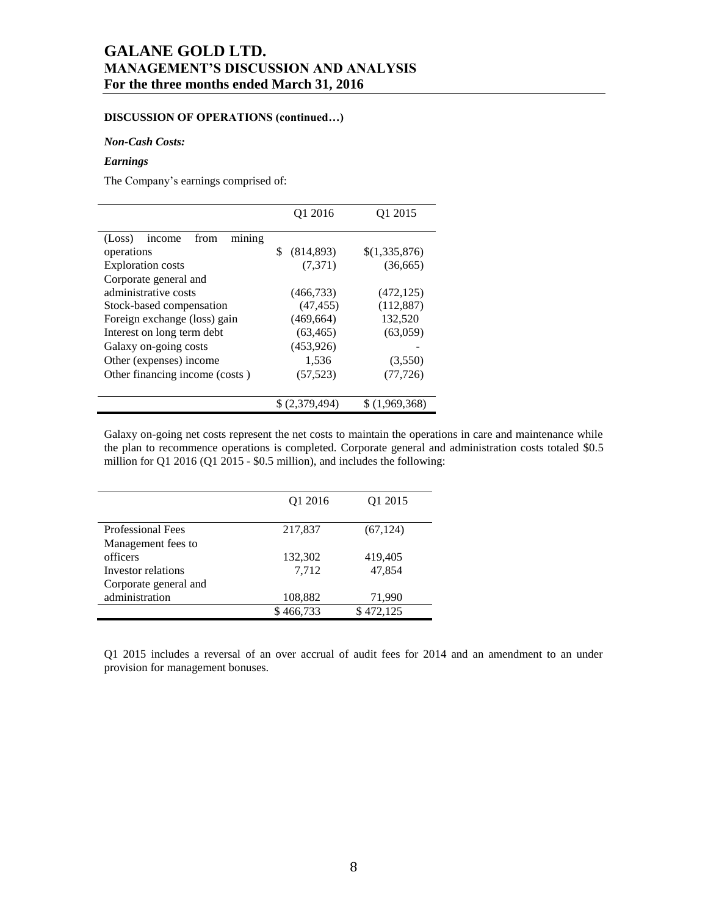## **DISCUSSION OF OPERATIONS (continued…)**

#### *Non-Cash Costs:*

#### *Earnings*

The Company's earnings comprised of:

|                                           | Q1 2016          | Q1 2015       |
|-------------------------------------------|------------------|---------------|
| mining<br>(Loss)<br>from<br><i>n</i> come |                  |               |
| operations                                | \$<br>(814, 893) | \$(1,335,876) |
| <b>Exploration</b> costs                  | (7,371)          | (36,665)      |
| Corporate general and                     |                  |               |
| administrative costs                      | (466, 733)       | (472, 125)    |
| Stock-based compensation                  | (47, 455)        | (112, 887)    |
| Foreign exchange (loss) gain              | (469, 664)       | 132,520       |
| Interest on long term debt                | (63, 465)        | (63,059)      |
| Galaxy on-going costs                     | (453, 926)       |               |
| Other (expenses) income                   | 1,536            | (3,550)       |
| Other financing income (costs)            | (57, 523)        | (77, 726)     |
|                                           | \$(2,379,494)    | \$(1,969,368) |

Galaxy on-going net costs represent the net costs to maintain the operations in care and maintenance while the plan to recommence operations is completed. Corporate general and administration costs totaled \$0.5 million for Q1 2016 (Q1 2015 - \$0.5 million), and includes the following:

|                          | O <sub>1</sub> 2016 | O <sub>1</sub> 2015 |
|--------------------------|---------------------|---------------------|
| <b>Professional Fees</b> | 217,837             | (67, 124)           |
| Management fees to       |                     |                     |
| officers                 | 132,302             | 419,405             |
| Investor relations       | 7,712               | 47,854              |
| Corporate general and    |                     |                     |
| administration           | 108,882             | 71,990              |
|                          | \$466,733           | \$472,125           |

Q1 2015 includes a reversal of an over accrual of audit fees for 2014 and an amendment to an under provision for management bonuses.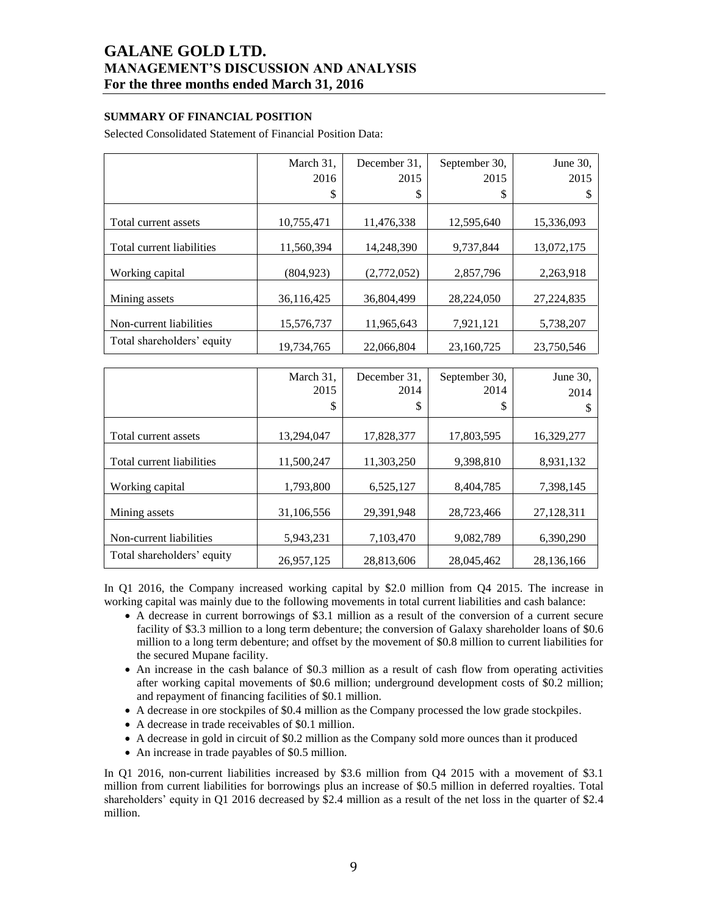## **SUMMARY OF FINANCIAL POSITION**

Selected Consolidated Statement of Financial Position Data:

|                            | March 31,  | December 31, | September 30, | June 30,     |
|----------------------------|------------|--------------|---------------|--------------|
|                            | 2016       | 2015         | 2015          | 2015         |
|                            | \$         | S            | \$            | J            |
|                            |            |              |               |              |
| Total current assets       | 10,755,471 | 11,476,338   | 12,595,640    | 15,336,093   |
| Total current liabilities  | 11.560.394 | 14.248.390   | 9.737.844     |              |
|                            |            |              |               | 13,072,175   |
| Working capital            | (804,923)  | (2,772,052)  | 2,857,796     | 2,263,918    |
| Mining assets              | 36,116,425 | 36.804.499   | 28,224,050    | 27, 224, 835 |
| Non-current liabilities    | 15,576,737 | 11,965,643   | 7,921,121     | 5,738,207    |
| Total shareholders' equity | 19,734,765 | 22,066,804   | 23,160,725    | 23,750,546   |

|                            | March 31,<br>2015 | December 31,<br>2014 | September 30,<br>2014 | June 30,<br>2014 |
|----------------------------|-------------------|----------------------|-----------------------|------------------|
|                            | \$                | J                    | \$                    | S                |
| Total current assets       | 13,294,047        | 17,828,377           | 17,803,595            | 16,329,277       |
| Total current liabilities  | 11,500,247        | 11,303,250           | 9,398,810             | 8,931,132        |
| Working capital            | 1,793,800         | 6,525,127            | 8,404,785             | 7,398,145        |
| Mining assets              | 31,106,556        | 29,391,948           | 28,723,466            | 27,128,311       |
| Non-current liabilities    | 5,943,231         | 7,103,470            | 9,082,789             | 6,390,290        |
| Total shareholders' equity | 26,957,125        | 28,813,606           | 28,045,462            | 28,136,166       |

In Q1 2016, the Company increased working capital by \$2.0 million from Q4 2015. The increase in working capital was mainly due to the following movements in total current liabilities and cash balance:

- A decrease in current borrowings of \$3.1 million as a result of the conversion of a current secure facility of \$3.3 million to a long term debenture; the conversion of Galaxy shareholder loans of \$0.6 million to a long term debenture; and offset by the movement of \$0.8 million to current liabilities for the secured Mupane facility.
- An increase in the cash balance of \$0.3 million as a result of cash flow from operating activities after working capital movements of \$0.6 million; underground development costs of \$0.2 million; and repayment of financing facilities of \$0.1 million.
- A decrease in ore stockpiles of \$0.4 million as the Company processed the low grade stockpiles.
- A decrease in trade receivables of \$0.1 million.
- A decrease in gold in circuit of \$0.2 million as the Company sold more ounces than it produced
- An increase in trade payables of \$0.5 million.

In Q1 2016, non-current liabilities increased by \$3.6 million from Q4 2015 with a movement of \$3.1 million from current liabilities for borrowings plus an increase of \$0.5 million in deferred royalties. Total shareholders' equity in Q1 2016 decreased by \$2.4 million as a result of the net loss in the quarter of \$2.4 million.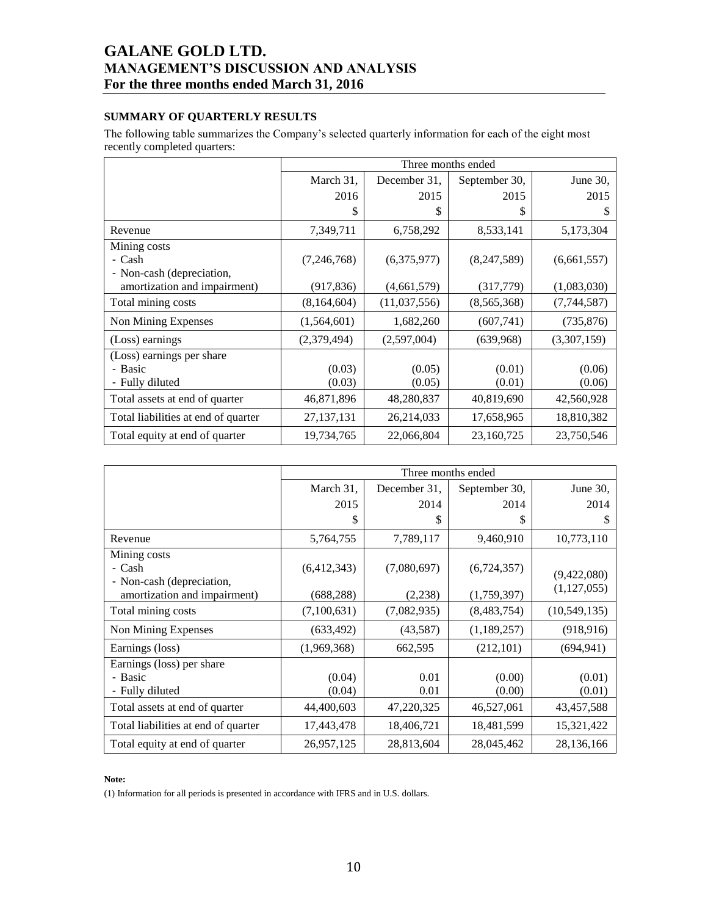## **SUMMARY OF QUARTERLY RESULTS**

The following table summarizes the Company's selected quarterly information for each of the eight most recently completed quarters:

|                                     | Three months ended |              |               |             |  |
|-------------------------------------|--------------------|--------------|---------------|-------------|--|
|                                     | March 31,          | December 31, | September 30, | June 30,    |  |
|                                     | 2016               | 2015         | 2015          | 2015        |  |
|                                     | \$                 | S            | S             | \$          |  |
| Revenue                             | 7,349,711          | 6,758,292    | 8,533,141     | 5,173,304   |  |
| Mining costs                        |                    |              |               |             |  |
| - Cash                              | (7,246,768)        | (6,375,977)  | (8,247,589)   | (6,661,557) |  |
| - Non-cash (depreciation,           |                    |              |               |             |  |
| amortization and impairment)        | (917, 836)         | (4,661,579)  | (317,779)     | (1,083,030) |  |
| Total mining costs                  | (8,164,604)        | (11,037,556) | (8,565,368)   | (7,744,587) |  |
| Non Mining Expenses                 | (1,564,601)        | 1,682,260    | (607,741)     | (735, 876)  |  |
| (Loss) earnings                     | (2,379,494)        | (2,597,004)  | (639,968)     | (3,307,159) |  |
| (Loss) earnings per share           |                    |              |               |             |  |
| - Basic                             | (0.03)             | (0.05)       | (0.01)        | (0.06)      |  |
| - Fully diluted                     | (0.03)             | (0.05)       | (0.01)        | (0.06)      |  |
| Total assets at end of quarter      | 46,871,896         | 48,280,837   | 40,819,690    | 42,560,928  |  |
| Total liabilities at end of quarter | 27, 137, 131       | 26,214,033   | 17,658,965    | 18,810,382  |  |
| Total equity at end of quarter      | 19,734,765         | 22,066,804   | 23,160,725    | 23,750,546  |  |

|                                                           | Three months ended |              |               |                |  |
|-----------------------------------------------------------|--------------------|--------------|---------------|----------------|--|
|                                                           | March 31,          | December 31, | September 30, | June 30,       |  |
|                                                           | 2015               | 2014         | 2014          | 2014           |  |
|                                                           | \$                 | \$           | \$            | \$             |  |
| Revenue                                                   | 5,764,755          | 7,789,117    | 9,460,910     | 10,773,110     |  |
| Mining costs                                              |                    |              |               |                |  |
| - Cash                                                    | (6,412,343)        | (7,080,697)  | (6,724,357)   | (9,422,080)    |  |
| - Non-cash (depreciation,<br>amortization and impairment) | (688, 288)         | (2,238)      | (1,759,397)   | (1, 127, 055)  |  |
| Total mining costs                                        | (7,100,631)        | (7,082,935)  | (8,483,754)   | (10, 549, 135) |  |
| Non Mining Expenses                                       | (633, 492)         | (43,587)     | (1,189,257)   | (918, 916)     |  |
| Earnings (loss)                                           | (1,969,368)        | 662,595      | (212, 101)    | (694, 941)     |  |
| Earnings (loss) per share                                 |                    |              |               |                |  |
| - Basic                                                   | (0.04)             | 0.01         | (0.00)        | (0.01)         |  |
| - Fully diluted                                           | (0.04)             | 0.01         | (0.00)        | (0.01)         |  |
| Total assets at end of quarter                            | 44,400,603         | 47,220,325   | 46,527,061    | 43,457,588     |  |
| Total liabilities at end of quarter                       | 17,443,478         | 18,406,721   | 18,481,599    | 15,321,422     |  |
| Total equity at end of quarter                            | 26,957,125         | 28,813,604   | 28,045,462    | 28,136,166     |  |

#### **Note:**

(1) Information for all periods is presented in accordance with IFRS and in U.S. dollars.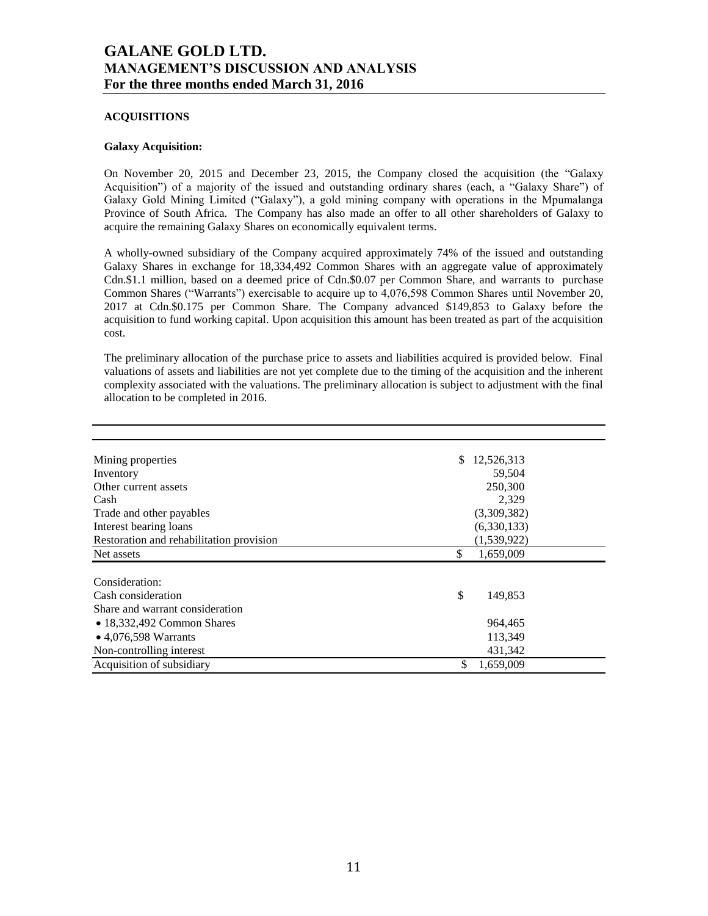### **ACQUISITIONS**

## **Galaxy Acquisition:**

On November 20, 2015 and December 23, 2015, the Company closed the acquisition (the "Galaxy Acquisition") of a majority of the issued and outstanding ordinary shares (each, a "Galaxy Share") of Galaxy Gold Mining Limited ("Galaxy"), a gold mining company with operations in the Mpumalanga Province of South Africa. The Company has also made an offer to all other shareholders of Galaxy to acquire the remaining Galaxy Shares on economically equivalent terms.

A wholly-owned subsidiary of the Company acquired approximately 74% of the issued and outstanding Galaxy Shares in exchange for 18,334,492 Common Shares with an aggregate value of approximately Cdn.\$1.1 million, based on a deemed price of Cdn.\$0.07 per Common Share, and warrants to purchase Common Shares ("Warrants") exercisable to acquire up to 4,076,598 Common Shares until November 20, 2017 at Cdn.\$0.175 per Common Share. The Company advanced \$149,853 to Galaxy before the acquisition to fund working capital. Upon acquisition this amount has been treated as part of the acquisition cost.

The preliminary allocation of the purchase price to assets and liabilities acquired is provided below. Final valuations of assets and liabilities are not yet complete due to the timing of the acquisition and the inherent complexity associated with the valuations. The preliminary allocation is subject to adjustment with the final allocation to be completed in 2016.

| Mining properties                        | 12,526,313<br>\$ |
|------------------------------------------|------------------|
| Inventory                                | 59,504           |
| Other current assets                     | 250,300          |
| Cash                                     | 2,329            |
| Trade and other payables                 | (3,309,382)      |
| Interest bearing loans                   | (6,330,133)      |
| Restoration and rehabilitation provision | (1,539,922)      |
| Net assets                               | \$<br>1,659,009  |
|                                          |                  |
| Consideration:                           |                  |
| Cash consideration                       | \$<br>149,853    |
| Share and warrant consideration          |                  |
| $\bullet$ 18,332,492 Common Shares       | 964,465          |
| $\bullet$ 4,076,598 Warrants             | 113,349          |
| Non-controlling interest                 | 431,342          |
| Acquisition of subsidiary                | \$<br>1,659,009  |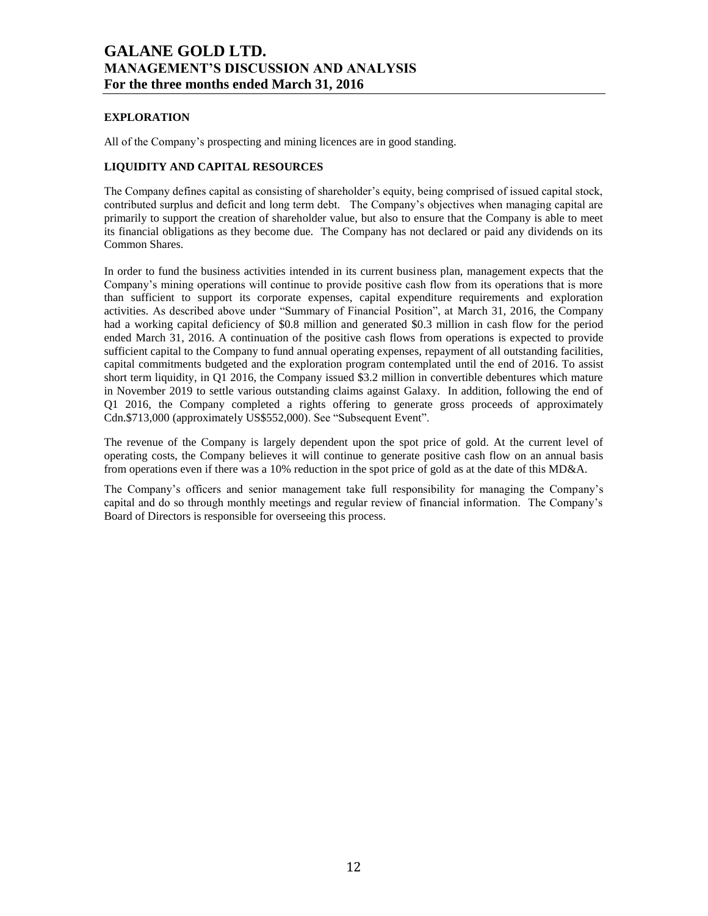## **EXPLORATION**

All of the Company's prospecting and mining licences are in good standing.

## **LIQUIDITY AND CAPITAL RESOURCES**

The Company defines capital as consisting of shareholder's equity, being comprised of issued capital stock, contributed surplus and deficit and long term debt. The Company's objectives when managing capital are primarily to support the creation of shareholder value, but also to ensure that the Company is able to meet its financial obligations as they become due. The Company has not declared or paid any dividends on its Common Shares.

In order to fund the business activities intended in its current business plan, management expects that the Company's mining operations will continue to provide positive cash flow from its operations that is more than sufficient to support its corporate expenses, capital expenditure requirements and exploration activities. As described above under "Summary of Financial Position", at March 31, 2016, the Company had a working capital deficiency of \$0.8 million and generated \$0.3 million in cash flow for the period ended March 31, 2016. A continuation of the positive cash flows from operations is expected to provide sufficient capital to the Company to fund annual operating expenses, repayment of all outstanding facilities, capital commitments budgeted and the exploration program contemplated until the end of 2016. To assist short term liquidity, in Q1 2016, the Company issued \$3.2 million in convertible debentures which mature in November 2019 to settle various outstanding claims against Galaxy. In addition, following the end of Q1 2016, the Company completed a rights offering to generate gross proceeds of approximately Cdn.\$713,000 (approximately US\$552,000). See "Subsequent Event".

The revenue of the Company is largely dependent upon the spot price of gold. At the current level of operating costs, the Company believes it will continue to generate positive cash flow on an annual basis from operations even if there was a 10% reduction in the spot price of gold as at the date of this MD&A.

The Company's officers and senior management take full responsibility for managing the Company's capital and do so through monthly meetings and regular review of financial information. The Company's Board of Directors is responsible for overseeing this process.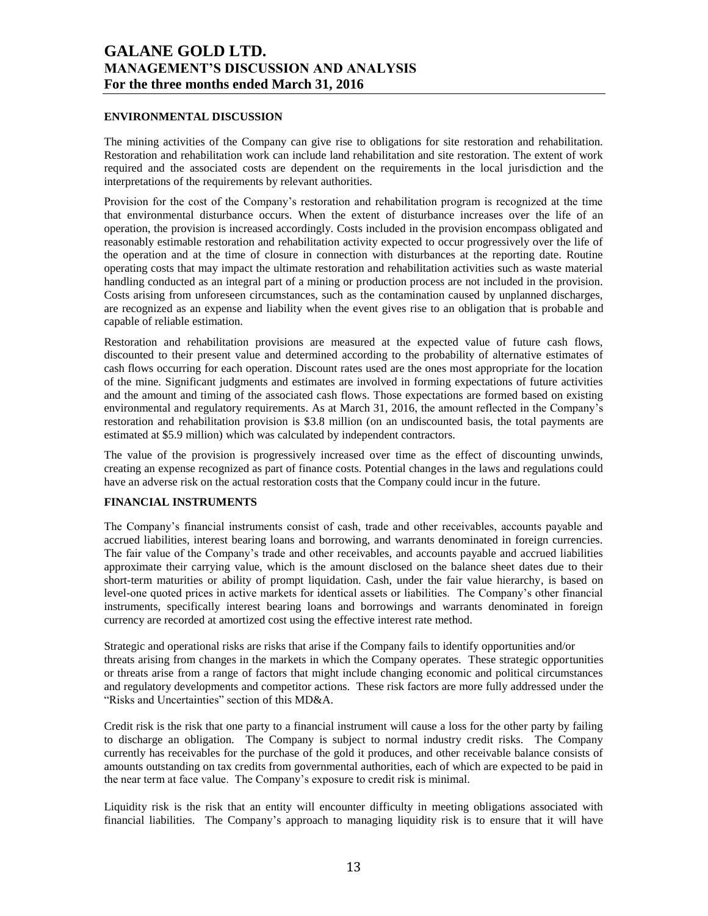#### **ENVIRONMENTAL DISCUSSION**

The mining activities of the Company can give rise to obligations for site restoration and rehabilitation. Restoration and rehabilitation work can include land rehabilitation and site restoration. The extent of work required and the associated costs are dependent on the requirements in the local jurisdiction and the interpretations of the requirements by relevant authorities.

Provision for the cost of the Company's restoration and rehabilitation program is recognized at the time that environmental disturbance occurs. When the extent of disturbance increases over the life of an operation, the provision is increased accordingly. Costs included in the provision encompass obligated and reasonably estimable restoration and rehabilitation activity expected to occur progressively over the life of the operation and at the time of closure in connection with disturbances at the reporting date. Routine operating costs that may impact the ultimate restoration and rehabilitation activities such as waste material handling conducted as an integral part of a mining or production process are not included in the provision. Costs arising from unforeseen circumstances, such as the contamination caused by unplanned discharges, are recognized as an expense and liability when the event gives rise to an obligation that is probable and capable of reliable estimation.

Restoration and rehabilitation provisions are measured at the expected value of future cash flows, discounted to their present value and determined according to the probability of alternative estimates of cash flows occurring for each operation. Discount rates used are the ones most appropriate for the location of the mine. Significant judgments and estimates are involved in forming expectations of future activities and the amount and timing of the associated cash flows. Those expectations are formed based on existing environmental and regulatory requirements. As at March 31, 2016, the amount reflected in the Company's restoration and rehabilitation provision is \$3.8 million (on an undiscounted basis, the total payments are estimated at \$5.9 million) which was calculated by independent contractors.

The value of the provision is progressively increased over time as the effect of discounting unwinds, creating an expense recognized as part of finance costs. Potential changes in the laws and regulations could have an adverse risk on the actual restoration costs that the Company could incur in the future.

## **FINANCIAL INSTRUMENTS**

The Company's financial instruments consist of cash, trade and other receivables, accounts payable and accrued liabilities, interest bearing loans and borrowing, and warrants denominated in foreign currencies. The fair value of the Company's trade and other receivables, and accounts payable and accrued liabilities approximate their carrying value, which is the amount disclosed on the balance sheet dates due to their short-term maturities or ability of prompt liquidation. Cash, under the fair value hierarchy, is based on level-one quoted prices in active markets for identical assets or liabilities. The Company's other financial instruments, specifically interest bearing loans and borrowings and warrants denominated in foreign currency are recorded at amortized cost using the effective interest rate method.

Strategic and operational risks are risks that arise if the Company fails to identify opportunities and/or threats arising from changes in the markets in which the Company operates. These strategic opportunities or threats arise from a range of factors that might include changing economic and political circumstances and regulatory developments and competitor actions. These risk factors are more fully addressed under the "Risks and Uncertainties" section of this MD&A.

Credit risk is the risk that one party to a financial instrument will cause a loss for the other party by failing to discharge an obligation. The Company is subject to normal industry credit risks. The Company currently has receivables for the purchase of the gold it produces, and other receivable balance consists of amounts outstanding on tax credits from governmental authorities, each of which are expected to be paid in the near term at face value. The Company's exposure to credit risk is minimal.

Liquidity risk is the risk that an entity will encounter difficulty in meeting obligations associated with financial liabilities. The Company's approach to managing liquidity risk is to ensure that it will have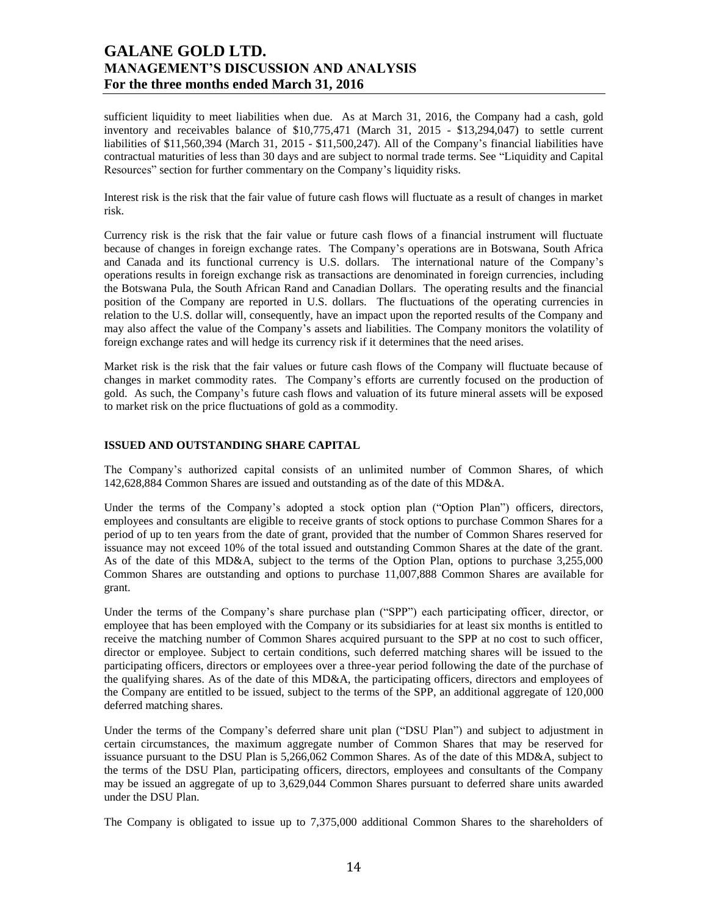sufficient liquidity to meet liabilities when due. As at March 31, 2016, the Company had a cash, gold inventory and receivables balance of \$10,775,471 (March 31, 2015 - \$13,294,047) to settle current liabilities of \$11,560,394 (March 31, 2015 - \$11,500,247). All of the Company's financial liabilities have contractual maturities of less than 30 days and are subject to normal trade terms. See "Liquidity and Capital Resources" section for further commentary on the Company's liquidity risks.

Interest risk is the risk that the fair value of future cash flows will fluctuate as a result of changes in market risk.

Currency risk is the risk that the fair value or future cash flows of a financial instrument will fluctuate because of changes in foreign exchange rates. The Company's operations are in Botswana, South Africa and Canada and its functional currency is U.S. dollars. The international nature of the Company's operations results in foreign exchange risk as transactions are denominated in foreign currencies, including the Botswana Pula, the South African Rand and Canadian Dollars. The operating results and the financial position of the Company are reported in U.S. dollars. The fluctuations of the operating currencies in relation to the U.S. dollar will, consequently, have an impact upon the reported results of the Company and may also affect the value of the Company's assets and liabilities. The Company monitors the volatility of foreign exchange rates and will hedge its currency risk if it determines that the need arises.

Market risk is the risk that the fair values or future cash flows of the Company will fluctuate because of changes in market commodity rates. The Company's efforts are currently focused on the production of gold. As such, the Company's future cash flows and valuation of its future mineral assets will be exposed to market risk on the price fluctuations of gold as a commodity.

#### **ISSUED AND OUTSTANDING SHARE CAPITAL**

The Company's authorized capital consists of an unlimited number of Common Shares, of which 142,628,884 Common Shares are issued and outstanding as of the date of this MD&A.

Under the terms of the Company's adopted a stock option plan ("Option Plan") officers, directors, employees and consultants are eligible to receive grants of stock options to purchase Common Shares for a period of up to ten years from the date of grant, provided that the number of Common Shares reserved for issuance may not exceed 10% of the total issued and outstanding Common Shares at the date of the grant. As of the date of this MD&A, subject to the terms of the Option Plan, options to purchase 3,255,000 Common Shares are outstanding and options to purchase 11,007,888 Common Shares are available for grant.

Under the terms of the Company's share purchase plan ("SPP") each participating officer, director, or employee that has been employed with the Company or its subsidiaries for at least six months is entitled to receive the matching number of Common Shares acquired pursuant to the SPP at no cost to such officer, director or employee. Subject to certain conditions, such deferred matching shares will be issued to the participating officers, directors or employees over a three-year period following the date of the purchase of the qualifying shares. As of the date of this MD&A, the participating officers, directors and employees of the Company are entitled to be issued, subject to the terms of the SPP, an additional aggregate of 120,000 deferred matching shares.

Under the terms of the Company's deferred share unit plan ("DSU Plan") and subject to adjustment in certain circumstances, the maximum aggregate number of Common Shares that may be reserved for issuance pursuant to the DSU Plan is 5,266,062 Common Shares. As of the date of this MD&A, subject to the terms of the DSU Plan, participating officers, directors, employees and consultants of the Company may be issued an aggregate of up to 3,629,044 Common Shares pursuant to deferred share units awarded under the DSU Plan.

The Company is obligated to issue up to 7,375,000 additional Common Shares to the shareholders of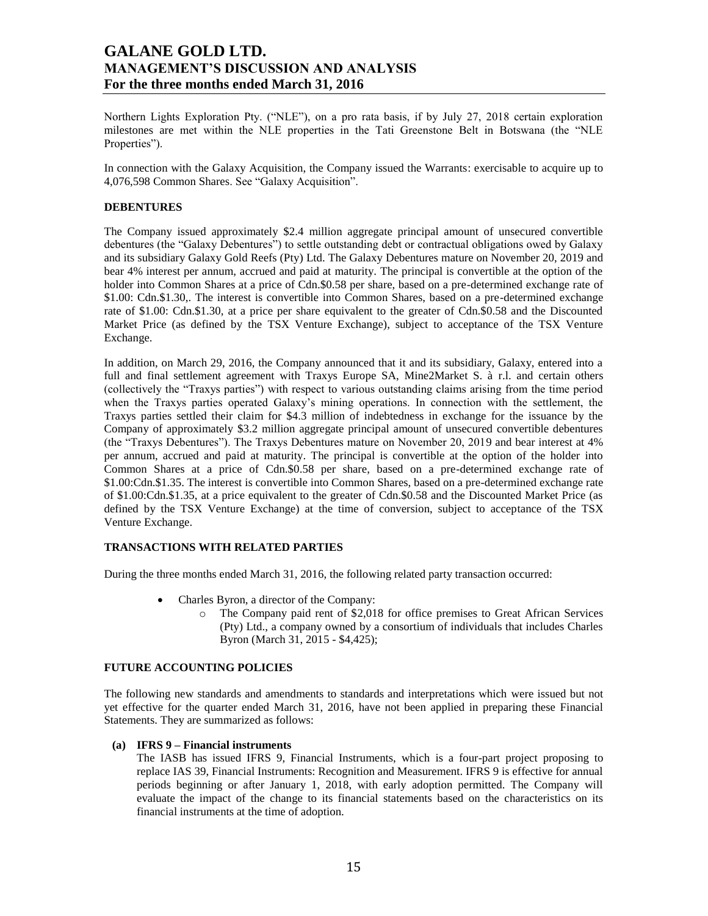Northern Lights Exploration Pty. ("NLE"), on a pro rata basis, if by July 27, 2018 certain exploration milestones are met within the NLE properties in the Tati Greenstone Belt in Botswana (the "NLE Properties").

In connection with the Galaxy Acquisition, the Company issued the Warrants: exercisable to acquire up to 4,076,598 Common Shares. See "Galaxy Acquisition".

### **DEBENTURES**

The Company issued approximately \$2.4 million aggregate principal amount of unsecured convertible debentures (the "Galaxy Debentures") to settle outstanding debt or contractual obligations owed by Galaxy and its subsidiary Galaxy Gold Reefs (Pty) Ltd. The Galaxy Debentures mature on November 20, 2019 and bear 4% interest per annum, accrued and paid at maturity. The principal is convertible at the option of the holder into Common Shares at a price of Cdn.\$0.58 per share, based on a pre-determined exchange rate of \$1.00: Cdn.\$1.30,. The interest is convertible into Common Shares, based on a pre-determined exchange rate of \$1.00: Cdn.\$1.30, at a price per share equivalent to the greater of Cdn.\$0.58 and the Discounted Market Price (as defined by the TSX Venture Exchange), subject to acceptance of the TSX Venture Exchange.

In addition, on March 29, 2016, the Company announced that it and its subsidiary, Galaxy, entered into a full and final settlement agreement with Traxys Europe SA, Mine2Market S. à r.l. and certain others (collectively the "Traxys parties") with respect to various outstanding claims arising from the time period when the Traxys parties operated Galaxy's mining operations. In connection with the settlement, the Traxys parties settled their claim for \$4.3 million of indebtedness in exchange for the issuance by the Company of approximately \$3.2 million aggregate principal amount of unsecured convertible debentures (the "Traxys Debentures"). The Traxys Debentures mature on November 20, 2019 and bear interest at 4% per annum, accrued and paid at maturity. The principal is convertible at the option of the holder into Common Shares at a price of Cdn.\$0.58 per share, based on a pre-determined exchange rate of \$1.00:Cdn.\$1.35. The interest is convertible into Common Shares, based on a pre-determined exchange rate of \$1.00:Cdn.\$1.35, at a price equivalent to the greater of Cdn.\$0.58 and the Discounted Market Price (as defined by the TSX Venture Exchange) at the time of conversion, subject to acceptance of the TSX Venture Exchange.

## **TRANSACTIONS WITH RELATED PARTIES**

During the three months ended March 31, 2016, the following related party transaction occurred:

- Charles Byron, a director of the Company:
	- o The Company paid rent of \$2,018 for office premises to Great African Services (Pty) Ltd., a company owned by a consortium of individuals that includes Charles Byron (March 31, 2015 - \$4,425);

## **FUTURE ACCOUNTING POLICIES**

The following new standards and amendments to standards and interpretations which were issued but not yet effective for the quarter ended March 31, 2016, have not been applied in preparing these Financial Statements. They are summarized as follows:

#### **(a) IFRS 9 – Financial instruments**

The IASB has issued IFRS 9, Financial Instruments, which is a four-part project proposing to replace IAS 39, Financial Instruments: Recognition and Measurement. IFRS 9 is effective for annual periods beginning or after January 1, 2018, with early adoption permitted. The Company will evaluate the impact of the change to its financial statements based on the characteristics on its financial instruments at the time of adoption.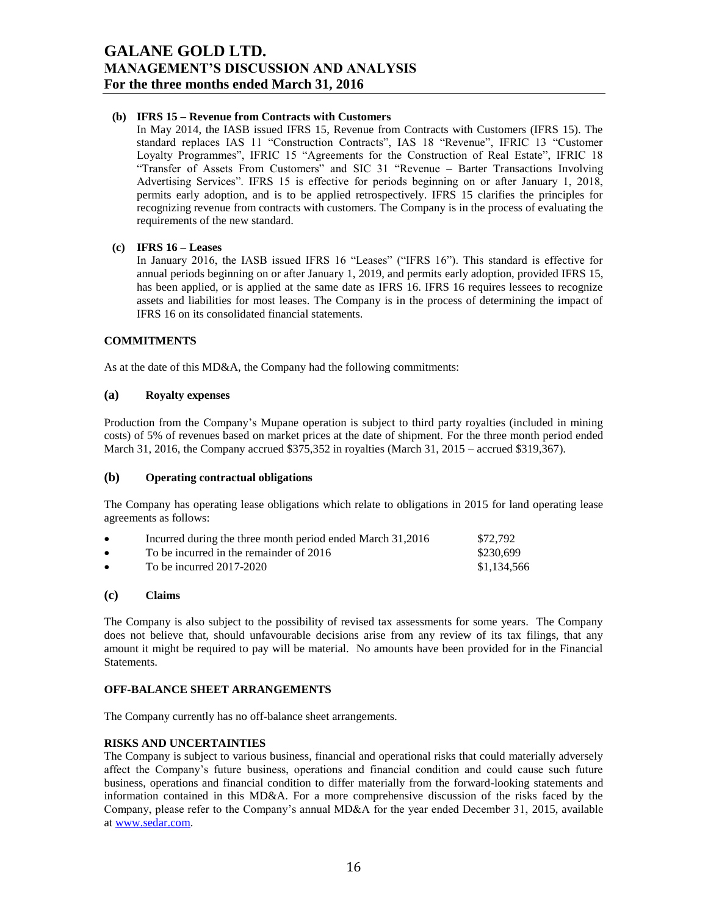### **(b) IFRS 15 – Revenue from Contracts with Customers**

In May 2014, the IASB issued IFRS 15, Revenue from Contracts with Customers (IFRS 15). The standard replaces IAS 11 "Construction Contracts", IAS 18 "Revenue", IFRIC 13 "Customer Loyalty Programmes", IFRIC 15 "Agreements for the Construction of Real Estate", IFRIC 18 "Transfer of Assets From Customers" and SIC 31 "Revenue – Barter Transactions Involving Advertising Services". IFRS 15 is effective for periods beginning on or after January 1, 2018, permits early adoption, and is to be applied retrospectively. IFRS 15 clarifies the principles for recognizing revenue from contracts with customers. The Company is in the process of evaluating the requirements of the new standard.

#### **(c) IFRS 16 – Leases**

In January 2016, the IASB issued IFRS 16 "Leases" ("IFRS 16"). This standard is effective for annual periods beginning on or after January 1, 2019, and permits early adoption, provided IFRS 15, has been applied, or is applied at the same date as IFRS 16. IFRS 16 requires lessees to recognize assets and liabilities for most leases. The Company is in the process of determining the impact of IFRS 16 on its consolidated financial statements.

### **COMMITMENTS**

As at the date of this MD&A, the Company had the following commitments:

### **(a) Royalty expenses**

Production from the Company's Mupane operation is subject to third party royalties (included in mining costs) of 5% of revenues based on market prices at the date of shipment. For the three month period ended March 31, 2016, the Company accrued \$375,352 in royalties (March 31, 2015 – accrued \$319,367).

### **(b) Operating contractual obligations**

The Company has operating lease obligations which relate to obligations in 2015 for land operating lease agreements as follows:

| $\bullet$ | Incurred during the three month period ended March 31,2016 | \$72.792    |
|-----------|------------------------------------------------------------|-------------|
| $\bullet$ | To be incurred in the remainder of 2016                    | \$230,699   |
| $\bullet$ | To be incurred $2017-2020$                                 | \$1,134,566 |

### **(c) Claims**

The Company is also subject to the possibility of revised tax assessments for some years. The Company does not believe that, should unfavourable decisions arise from any review of its tax filings, that any amount it might be required to pay will be material. No amounts have been provided for in the Financial Statements.

### **OFF-BALANCE SHEET ARRANGEMENTS**

The Company currently has no off-balance sheet arrangements.

### **RISKS AND UNCERTAINTIES**

The Company is subject to various business, financial and operational risks that could materially adversely affect the Company's future business, operations and financial condition and could cause such future business, operations and financial condition to differ materially from the forward-looking statements and information contained in this MD&A. For a more comprehensive discussion of the risks faced by the Company, please refer to the Company's annual MD&A for the year ended December 31, 2015, available a[t www.sedar.com.](http://www.sedar.com/)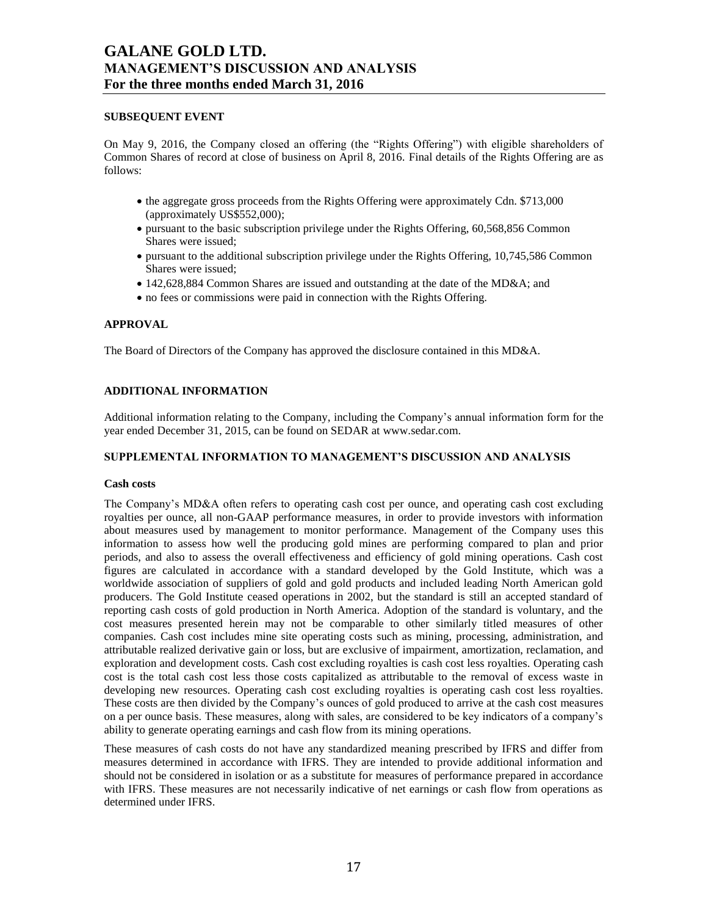### **SUBSEQUENT EVENT**

On May 9, 2016, the Company closed an offering (the "Rights Offering") with eligible shareholders of Common Shares of record at close of business on April 8, 2016. Final details of the Rights Offering are as follows:

- the aggregate gross proceeds from the Rights Offering were approximately Cdn. \$713,000 (approximately US\$552,000);
- pursuant to the basic subscription privilege under the Rights Offering, 60,568,856 Common Shares were issued;
- pursuant to the additional subscription privilege under the Rights Offering, 10,745,586 Common Shares were issued;
- 142,628,884 Common Shares are issued and outstanding at the date of the MD&A; and
- no fees or commissions were paid in connection with the Rights Offering.

### **APPROVAL**

The Board of Directors of the Company has approved the disclosure contained in this MD&A.

## **ADDITIONAL INFORMATION**

Additional information relating to the Company, including the Company's annual information form for the year ended December 31, 2015, can be found on SEDAR at www.sedar.com.

### **SUPPLEMENTAL INFORMATION TO MANAGEMENT'S DISCUSSION AND ANALYSIS**

### **Cash costs**

The Company's MD&A often refers to operating cash cost per ounce, and operating cash cost excluding royalties per ounce, all non-GAAP performance measures, in order to provide investors with information about measures used by management to monitor performance. Management of the Company uses this information to assess how well the producing gold mines are performing compared to plan and prior periods, and also to assess the overall effectiveness and efficiency of gold mining operations. Cash cost figures are calculated in accordance with a standard developed by the Gold Institute, which was a worldwide association of suppliers of gold and gold products and included leading North American gold producers. The Gold Institute ceased operations in 2002, but the standard is still an accepted standard of reporting cash costs of gold production in North America. Adoption of the standard is voluntary, and the cost measures presented herein may not be comparable to other similarly titled measures of other companies. Cash cost includes mine site operating costs such as mining, processing, administration, and attributable realized derivative gain or loss, but are exclusive of impairment, amortization, reclamation, and exploration and development costs. Cash cost excluding royalties is cash cost less royalties. Operating cash cost is the total cash cost less those costs capitalized as attributable to the removal of excess waste in developing new resources. Operating cash cost excluding royalties is operating cash cost less royalties. These costs are then divided by the Company's ounces of gold produced to arrive at the cash cost measures on a per ounce basis. These measures, along with sales, are considered to be key indicators of a company's ability to generate operating earnings and cash flow from its mining operations.

These measures of cash costs do not have any standardized meaning prescribed by IFRS and differ from measures determined in accordance with IFRS. They are intended to provide additional information and should not be considered in isolation or as a substitute for measures of performance prepared in accordance with IFRS. These measures are not necessarily indicative of net earnings or cash flow from operations as determined under IFRS.